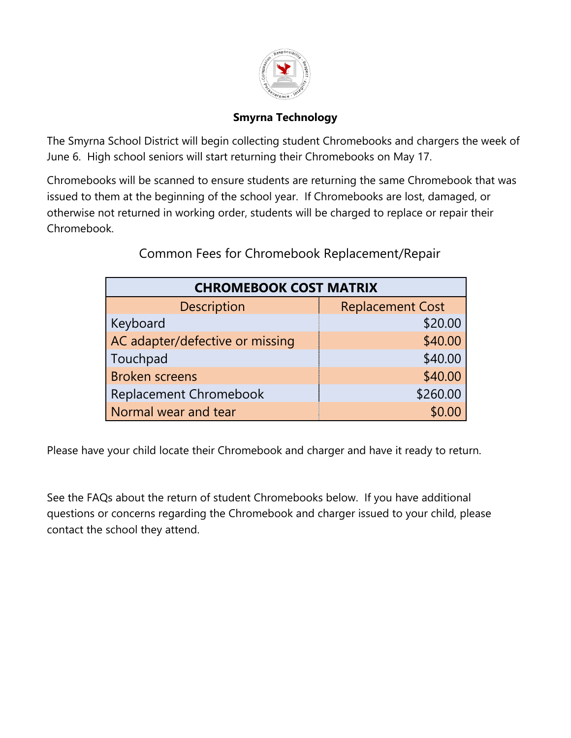

#### **Smyrna Technology**

The Smyrna School District will begin collecting student Chromebooks and chargers the week of June 6. High school seniors will start returning their Chromebooks on May 17.

Chromebooks will be scanned to ensure students are returning the same Chromebook that was issued to them at the beginning of the school year. If Chromebooks are lost, damaged, or otherwise not returned in working order, students will be charged to replace or repair their Chromebook.

| <b>CHROMEBOOK COST MATRIX</b>   |                         |
|---------------------------------|-------------------------|
| <b>Description</b>              | <b>Replacement Cost</b> |
| Keyboard                        | \$20.00                 |
| AC adapter/defective or missing | \$40.00                 |
| Touchpad                        | \$40.00                 |
| <b>Broken screens</b>           | \$40.00                 |
| <b>Replacement Chromebook</b>   | \$260.00                |
| Normal wear and tear            |                         |

Common Fees for Chromebook Replacement/Repair

Please have your child locate their Chromebook and charger and have it ready to return.

See the FAQs about the return of student Chromebooks below. If you have additional questions or concerns regarding the Chromebook and charger issued to your child, please contact the school they attend.